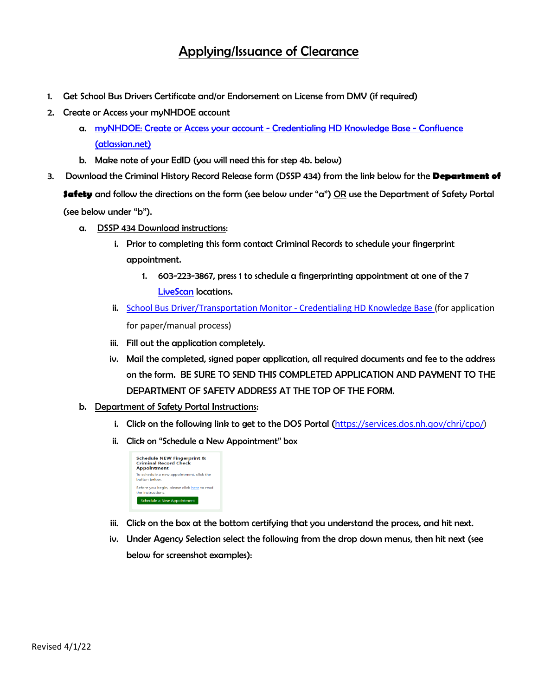## Applying/Issuance of Clearance

- 1. Get School Bus Drivers Certificate and/or Endorsement on License from DMV (if required)
- 2. Create or Access your myNHDOE account
	- a. [myNHDOE: Create or Access your account -](https://nhdoepm.atlassian.net/wiki/spaces/CHD/pages/1356136549/myNHDOE+Create+or+Access+your+account) Credentialing HD Knowledge Base Confluence [\(atlassian.net\)](https://nhdoepm.atlassian.net/wiki/spaces/CHD/pages/1356136549/myNHDOE+Create+or+Access+your+account)
	- b. Make note of your EdID (you will need this for step 4b. below)
- 3. Download the Criminal History Record Release form (DSSP 434) from the link below for the **Department of Safety** and follow the directions on the form (see below under "a") OR use the Department of Safety Portal (see below under "b").
	- a. DSSP 434 Download instructions:
		- i. Prior to completing this form contact Criminal Records to schedule your fingerprint appointment.
			- 1. 603-223-3867, press 1 to schedule a fingerprinting appointment at one of the 7 [LiveScan](https://www.nhsp.dos.nh.gov/our-services/criminal-records/criminal-history-record-requests) locations.
		- ii. [School Bus Driver/Transportation Monitor -](https://nhdoepm.atlassian.net/wiki/spaces/CHD/pages/2026373121/School+Bus+Driver+Transportation+Monitor) Credentialing HD Knowledge Base (for application for paper/manual process)
		- iii. Fill out the application completely.
		- iv. Mail the completed, signed paper application, all required documents and fee to the address on the form. BE SURE TO SEND THIS COMPLETED APPLICATION AND PAYMENT TO THE DEPARTMENT OF SAFETY ADDRESS AT THE TOP OF THE FORM.
	- b. Department of Safety Portal Instructions:
		- i. Click on the following link to get to the DOS Portal ([https://services.dos.nh.gov/chri/cpo/\)](https://services.dos.nh.gov/chri/cpo/)
		- ii. Click on "Schedule a New Appointment" box



- iii. Click on the box at the bottom certifying that you understand the process, and hit next.
- iv. Under Agency Selection select the following from the drop down menus, then hit next (see below for screenshot examples):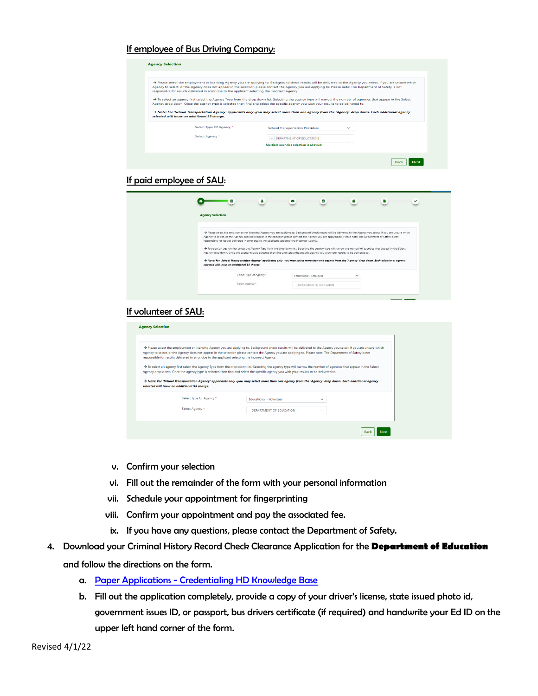## If employee of Bus Driving Company:

|                                               | responsible for results delivered in error due to the applicant selecting the incorrect Agency. | > Please select the employment or licensing Agency you are applying to. Background check results will be delivered to the Agency you select. If you are unsure which<br>Agency to select, or the Agency does not appear in the selection please contact the Agency you are applying to. Please note: The Department of Safety is not |              |  |
|-----------------------------------------------|-------------------------------------------------------------------------------------------------|--------------------------------------------------------------------------------------------------------------------------------------------------------------------------------------------------------------------------------------------------------------------------------------------------------------------------------------|--------------|--|
|                                               |                                                                                                 | > To select an agency first select the Agency Type from the drop down list. Selecting the agency type will narrow the number of agencies that appear in the Select                                                                                                                                                                   |              |  |
|                                               |                                                                                                 | Agency drop down. Once the agency type is selected then find and select the specific agency you wish your results to be delivered to.                                                                                                                                                                                                |              |  |
|                                               |                                                                                                 |                                                                                                                                                                                                                                                                                                                                      |              |  |
|                                               |                                                                                                 | $\rightarrow$ Note: For 'School Transportation Agency' applicants only -you may select more than one agency from the 'Agency' drop down. Each additional agency                                                                                                                                                                      |              |  |
| selected will incur an additional \$5 charge. |                                                                                                 |                                                                                                                                                                                                                                                                                                                                      |              |  |
|                                               | Select Type Of Agency *                                                                         | <b>School Transportation Providers</b>                                                                                                                                                                                                                                                                                               | $\checkmark$ |  |
|                                               | Select Agency <sup>*</sup>                                                                      |                                                                                                                                                                                                                                                                                                                                      |              |  |
|                                               |                                                                                                 | <b>× DEPARTMENT OF EDUCATION</b><br>Multiple agencies selection is allowed                                                                                                                                                                                                                                                           |              |  |

#### If paid employee of SAU:

|                         | 里<br>д                                                                                          | Е<br>V                                                                                                                                                                                                                                                                                                                               |              |  |
|-------------------------|-------------------------------------------------------------------------------------------------|--------------------------------------------------------------------------------------------------------------------------------------------------------------------------------------------------------------------------------------------------------------------------------------------------------------------------------------|--------------|--|
| <b>Agency Selection</b> |                                                                                                 |                                                                                                                                                                                                                                                                                                                                      |              |  |
|                         |                                                                                                 |                                                                                                                                                                                                                                                                                                                                      |              |  |
|                         |                                                                                                 | > Please select the employment or licensing Agency you are applying to. Background check results will be delivered to the Agency you select. If you are unsure which<br>Agency to select, or the Agency does not appear in the selection please contact the Agency you are applying to. Please note: The Department of Safety is not |              |  |
|                         | responsible for results delivered in error due to the applicant selecting the incorrect Agency. |                                                                                                                                                                                                                                                                                                                                      |              |  |
|                         |                                                                                                 |                                                                                                                                                                                                                                                                                                                                      |              |  |
|                         |                                                                                                 | > To select an agency first select the Agency Type from the drop down list. Selecting the agency type will narrow the number of agencies that appear in the Select<br>Agency drop down. Once the agency type is selected then find and select the specific agency you wish your results to be delivered to.                          |              |  |
|                         | selected will incur an additional \$5 charge.                                                   | > Note: For 'School Transportation Agency' applicants only -you may select more than one agency from the 'Agency' drop down. Each additional agency                                                                                                                                                                                  |              |  |
|                         | Select Type Of Agency *                                                                         | Educational - Employee                                                                                                                                                                                                                                                                                                               | $\checkmark$ |  |

### If volunteer of SAU:

|                                               |                                                                                                 | > Please select the employment or licensing Agency you are applying to. Background check results will be delivered to the Agency you select. If you are unsure which<br>Agency to select, or the Agency does not appear in the selection please contact the Agency you are applying to. Please note: The Department of Safety is not |              |  |
|-----------------------------------------------|-------------------------------------------------------------------------------------------------|--------------------------------------------------------------------------------------------------------------------------------------------------------------------------------------------------------------------------------------------------------------------------------------------------------------------------------------|--------------|--|
|                                               | responsible for results delivered in error due to the applicant selecting the incorrect Agency. |                                                                                                                                                                                                                                                                                                                                      |              |  |
|                                               |                                                                                                 |                                                                                                                                                                                                                                                                                                                                      |              |  |
|                                               |                                                                                                 | > To select an agency first select the Agency Type from the drop down list. Selecting the agency type will narrow the number of agencies that appear in the Select                                                                                                                                                                   |              |  |
|                                               |                                                                                                 |                                                                                                                                                                                                                                                                                                                                      |              |  |
|                                               |                                                                                                 | Agency drop down. Once the agency type is selected then find and select the specific agency you wish your results to be delivered to.                                                                                                                                                                                                |              |  |
|                                               |                                                                                                 |                                                                                                                                                                                                                                                                                                                                      |              |  |
|                                               |                                                                                                 | → Note: For 'School Transportation Agency' applicants only -you may select more than one agency from the 'Agency' drop down. Each additional agency                                                                                                                                                                                  |              |  |
| selected will incur an additional \$5 charge. |                                                                                                 |                                                                                                                                                                                                                                                                                                                                      |              |  |
|                                               |                                                                                                 |                                                                                                                                                                                                                                                                                                                                      |              |  |
|                                               | Select Type Of Agency *                                                                         | <b>Educational - Volunteer</b>                                                                                                                                                                                                                                                                                                       | $\checkmark$ |  |
|                                               |                                                                                                 |                                                                                                                                                                                                                                                                                                                                      |              |  |
|                                               | Select Agency*                                                                                  | DEPARTMENT OF EDUCATION                                                                                                                                                                                                                                                                                                              |              |  |

- v. Confirm your selection
- vi. Fill out the remainder of the form with your personal information
- vii. Schedule your appointment for fingerprinting
- viii. Confirm your appointment and pay the associated fee.
- ix. If you have any questions, please contact the Department of Safety.
- 4. Download your Criminal History Record Check Clearance Application for the **Department of Education** and follow the directions on the form.
	- a. Paper Applications [Credentialing HD Knowledge Base](https://nhdoepm.atlassian.net/wiki/spaces/CHD/pages/324042772/Paper+Applications)
	- b. Fill out the application completely, provide a copy of your driver's license, state issued photo id, government issues ID, or passport, bus drivers certificate (if required) and handwrite your Ed ID on the upper left hand corner of the form.